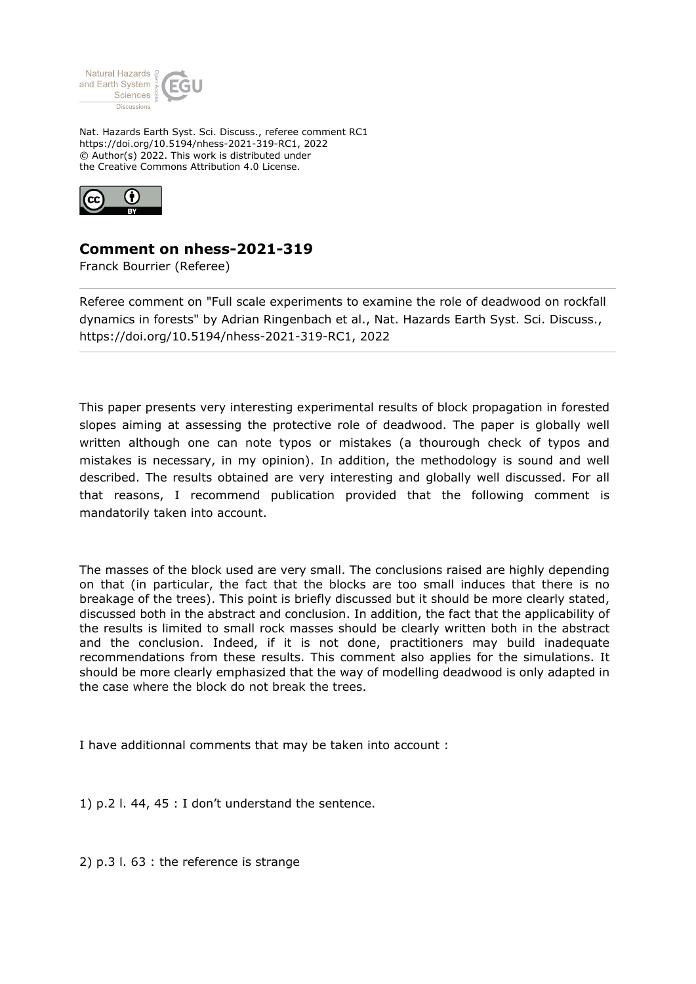

Nat. Hazards Earth Syst. Sci. Discuss., referee comment RC1 https://doi.org/10.5194/nhess-2021-319-RC1, 2022 © Author(s) 2022. This work is distributed under the Creative Commons Attribution 4.0 License.



## **Comment on nhess-2021-319**

Franck Bourrier (Referee)

Referee comment on "Full scale experiments to examine the role of deadwood on rockfall dynamics in forests" by Adrian Ringenbach et al., Nat. Hazards Earth Syst. Sci. Discuss., https://doi.org/10.5194/nhess-2021-319-RC1, 2022

This paper presents very interesting experimental results of block propagation in forested slopes aiming at assessing the protective role of deadwood. The paper is globally well written although one can note typos or mistakes (a thourough check of typos and mistakes is necessary, in my opinion). In addition, the methodology is sound and well described. The results obtained are very interesting and globally well discussed. For all that reasons, I recommend publication provided that the following comment is mandatorily taken into account.

The masses of the block used are very small. The conclusions raised are highly depending on that (in particular, the fact that the blocks are too small induces that there is no breakage of the trees). This point is briefly discussed but it should be more clearly stated, discussed both in the abstract and conclusion. In addition, the fact that the applicability of the results is limited to small rock masses should be clearly written both in the abstract and the conclusion. Indeed, if it is not done, practitioners may build inadequate recommendations from these results. This comment also applies for the simulations. It should be more clearly emphasized that the way of modelling deadwood is only adapted in the case where the block do not break the trees.

I have additionnal comments that may be taken into account :

1) p.2 l. 44, 45 : I don't understand the sentence.

2) p.3 l. 63 : the reference is strange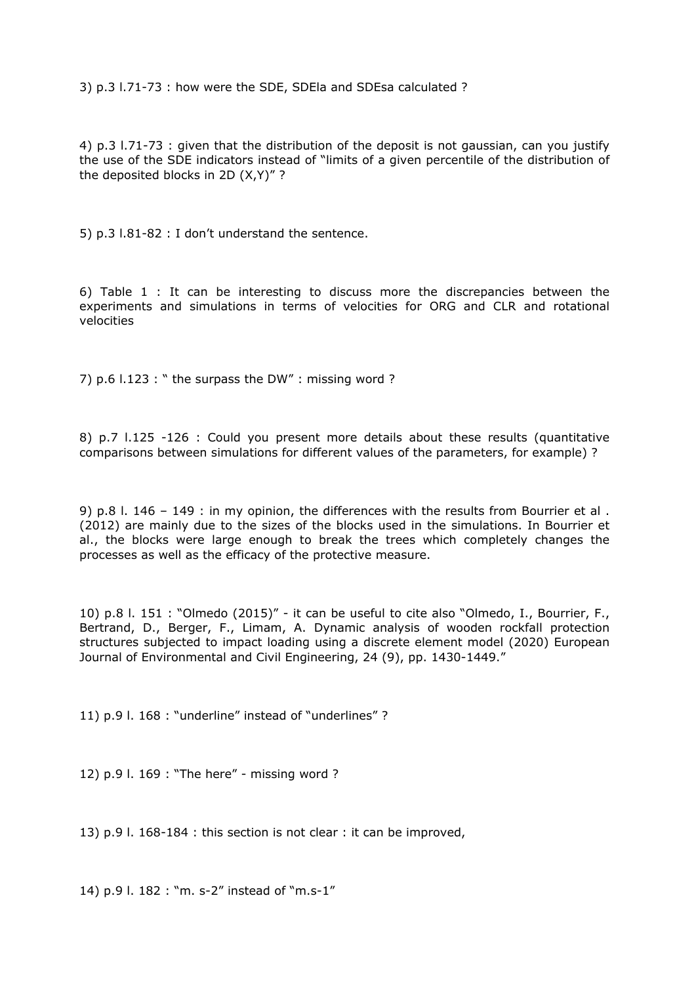3) p.3 l.71-73 : how were the SDE, SDEla and SDEsa calculated ?

4) p.3 l.71-73 : given that the distribution of the deposit is not gaussian, can you justify the use of the SDE indicators instead of "limits of a given percentile of the distribution of the deposited blocks in 2D (X,Y)" ?

5) p.3 l.81-82 : I don't understand the sentence.

6) Table 1 : It can be interesting to discuss more the discrepancies between the experiments and simulations in terms of velocities for ORG and CLR and rotational velocities

7) p.6 l.123 : " the surpass the DW" : missing word ?

8) p.7 l.125 -126 : Could you present more details about these results (quantitative comparisons between simulations for different values of the parameters, for example) ?

9) p.8 l. 146 – 149 : in my opinion, the differences with the results from Bourrier et al . (2012) are mainly due to the sizes of the blocks used in the simulations. In Bourrier et al., the blocks were large enough to break the trees which completely changes the processes as well as the efficacy of the protective measure.

10) p.8 l. 151 : "Olmedo (2015)" - it can be useful to cite also "Olmedo, I., Bourrier, F., Bertrand, D., Berger, F., Limam, A. Dynamic analysis of wooden rockfall protection structures subjected to impact loading using a discrete element model (2020) European Journal of Environmental and Civil Engineering, 24 (9), pp. 1430-1449."

11) p.9 l. 168 : "underline" instead of "underlines" ?

12) p.9 l. 169 : "The here" - missing word ?

13) p.9 l. 168-184 : this section is not clear : it can be improved,

14) p.9 l. 182 : "m. s-2" instead of "m.s-1"